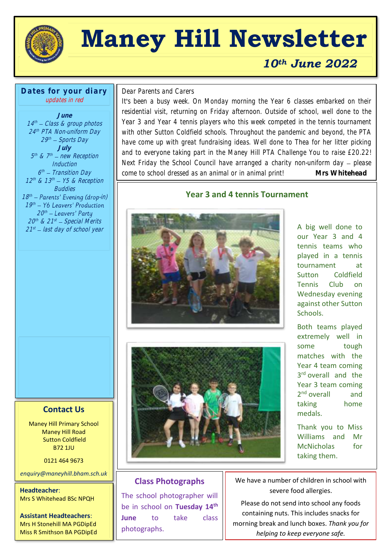

## **Maney Hill Newsletter**

#### *10th June 2022*

**Dates for your diary** updates in red

**June** 14 th Class & group photos 24 th PTA Non-uniform Day 29th – Sports Day **July** 5<sup>th</sup> & 7<sup>th</sup> — new Reception Induction 6<sup>th</sup> – Transition Day  $12^{th}$  &  $13^{th}$  –  $Y5$  & Reception **Buddies**  $18<sup>th</sup>$  – Parents' Evening (drop-in)  $19<sup>th</sup>$ 20<sup>th</sup> 20th & 21st — Special Merits 21<sup>st</sup> – last day of school year

 $\overline{a}$ Dear Parents and Carers

It's been a busy week. On Monday morning the Year 6 classes embarked on their residential visit, returning on Friday afternoon. Outside of school, well done to the Year 3 and Year 4 tennis players who this week competed in the tennis tournament with other Sutton Coldfield schools. Throughout the pandemic and beyond, the PTA have come up with great fundraising ideas. Well done to Thea for her litter picking and to everyone taking part in the Maney Hill PTA Challenge You to raise £20.22! Next Friday the School Council have arranged a charity non-uniform day  $-$  please come to school dressed as an animal or in animal print! **Mrs Whitehead**

#### **Year 3 and 4 tennis Tournament**



A big well done to our Year 3 and 4 tennis teams who played in a tennis tournament at Sutton Coldfield Tennis Club on Wednesday evening against other Sutton Schools.

Both teams played extremely well in some tough matches with the Year 4 team coming 3<sup>rd</sup> overall and the Year 3 team coming 2<sup>nd</sup> overall and taking home medals.

Thank you to Miss Williams and Mr McNicholas for taking them.

## Maney Hill Primary School

Maney Hill Road Sutton Coldfield B72 1JU

**Contact Us**

0121 464 9673

*enquiry@maneyhill.bham.sch.uk*

**Headteacher**: Mrs S Whitehead BSc NPQH

**Assistant Headteachers**: Mrs H Stonehill MA PGDipEd Miss R Smithson BA PGDipEd

#### **Class Photographs**

The school photographer will be in school on **Tuesday 14th June** to take class photographs.

We have a number of children in school with severe food allergies.

Please do not send into school any foods containing nuts. This includes snacks for morning break and lunch boxes. *Thank you for helping to keep everyone safe.*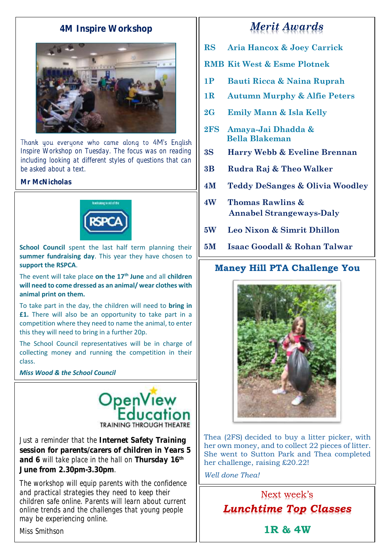#### **4M Inspire Workshop**



Thank you everyone who came along to 4M's English Inspire Workshop on Tuesday. The focus was on reading including looking at different styles of questions that can be asked about a text.

**Mr McNicholas**



**School Council** spent the last half term planning their **summer fundraising day**. This year they have chosen to **support the RSPCA**.

The event will take place **on the 17th June** and all **children will need to come dressed as an animal/ wear clothes with animal print on them.**

To take part in the day, the children will need to **bring in £1.** There will also be an opportunity to take part in a competition where they need to name the animal, to enter this they will need to bring in a further 20p.

The School Council representatives will be in charge of collecting money and running the competition in their class.

*Miss Wood & the School Council*



Just a reminder that the **Internet Safety Training session for parents/carers of children in Years 5 and 6** will take place in the hall on **Thursday 16th June from 2.30pm-3.30pm**.

The workshop will equip parents with the confidence and practical strategies they need to keep their children safe online. Parents will learn about current online trends and the challenges that young people may be experiencing online.

### *Merit Awards*

- **RS Aria Hancox & Joey Carrick**
- **RMB Kit West & Esme Plotnek**
- **1P Bauti Ricca & Naina Ruprah**
- **1R Autumn Murphy & Alfie Peters**
- **2G Emily Mann & Isla Kelly**
- **2FS Amaya-Jai Dhadda & Bella Blakeman**
- **3S Harry Webb & Eveline Brennan**
- **3B Rudra Raj & Theo Walker**
- **4M Teddy DeSanges & Olivia Woodley**
- **4W Thomas Rawlins & Annabel Strangeways-Daly**
- **5W Leo Nixon & Simrit Dhillon**
- **5M Isaac Goodall & Rohan Talwar**

#### **Maney Hill PTA Challenge You**



Thea (2FS) decided to buy a litter picker, with her own money, and to collect 22 pieces of litter. She went to Sutton Park and Thea completed her challenge, raising £20.22!

*Well done Thea!*

Next week's *Lunchtime Top Classes*

Miss Smithson

**1R & 4W**